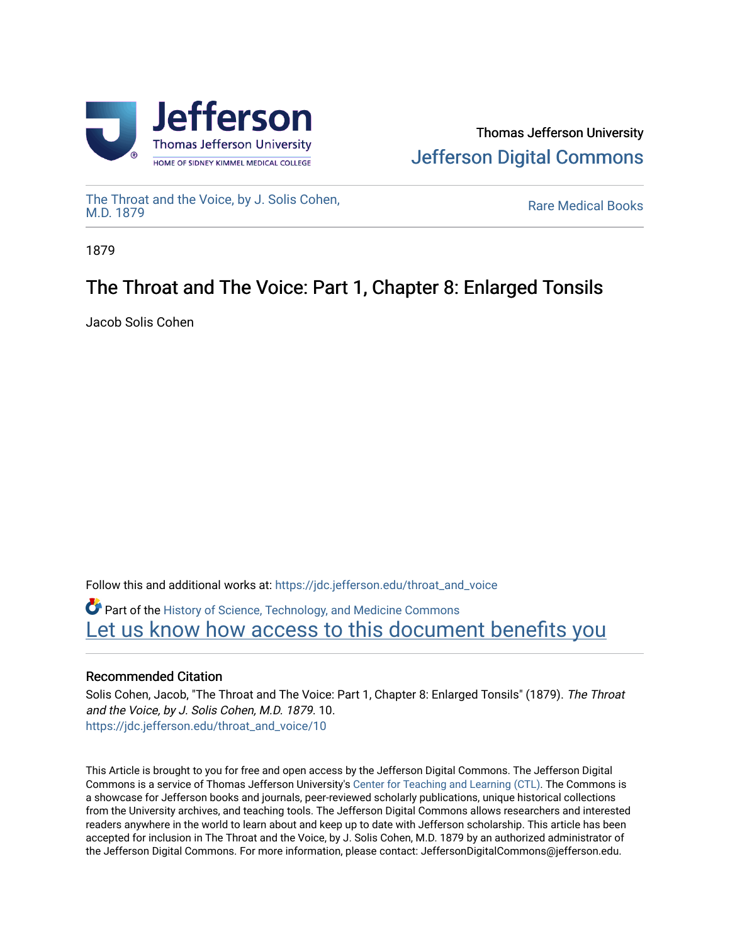



[The Throat and the Voice, by J. Solis Cohen,](https://jdc.jefferson.edu/throat_and_voice)

**Rare Medical Books** 

1879

## The Throat and The Voice: Part 1, Chapter 8: Enlarged Tonsils

Jacob Solis Cohen

Follow this and additional works at: [https://jdc.jefferson.edu/throat\\_and\\_voice](https://jdc.jefferson.edu/throat_and_voice?utm_source=jdc.jefferson.edu%2Fthroat_and_voice%2F10&utm_medium=PDF&utm_campaign=PDFCoverPages) **P** Part of the History of Science, Technology, and Medicine Commons Let us know how access to this document benefits you

## Recommended Citation

Solis Cohen, Jacob, "The Throat and The Voice: Part 1, Chapter 8: Enlarged Tonsils" (1879). The Throat and the Voice, by J. Solis Cohen, M.D. 1879. 10. [https://jdc.jefferson.edu/throat\\_and\\_voice/10](https://jdc.jefferson.edu/throat_and_voice/10?utm_source=jdc.jefferson.edu%2Fthroat_and_voice%2F10&utm_medium=PDF&utm_campaign=PDFCoverPages) 

This Article is brought to you for free and open access by the Jefferson Digital Commons. The Jefferson Digital Commons is a service of Thomas Jefferson University's [Center for Teaching and Learning \(CTL\)](http://www.jefferson.edu/university/teaching-learning.html/). The Commons is a showcase for Jefferson books and journals, peer-reviewed scholarly publications, unique historical collections from the University archives, and teaching tools. The Jefferson Digital Commons allows researchers and interested readers anywhere in the world to learn about and keep up to date with Jefferson scholarship. This article has been accepted for inclusion in The Throat and the Voice, by J. Solis Cohen, M.D. 1879 by an authorized administrator of the Jefferson Digital Commons. For more information, please contact: JeffersonDigitalCommons@jefferson.edu.